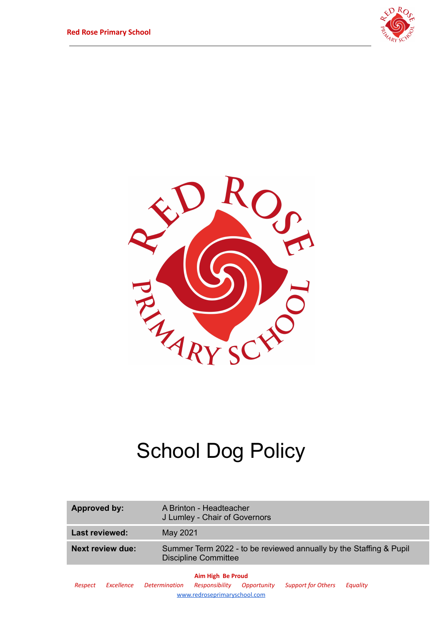



# School Dog Policy

| Approved by:            | A Brinton - Headteacher<br>J Lumley - Chair of Governors                                          |
|-------------------------|---------------------------------------------------------------------------------------------------|
| <b>Last reviewed:</b>   | May 2021                                                                                          |
| <b>Next review due:</b> | Summer Term 2022 - to be reviewed annually by the Staffing & Pupil<br><b>Discipline Committee</b> |
|                         | Aim High Be Proud                                                                                 |

*Respect Excellence Determination Responsibility Opportunity Support for Others Equality* [www.redroseprimaryschool.com](http://www.redroseprimaryschool.com)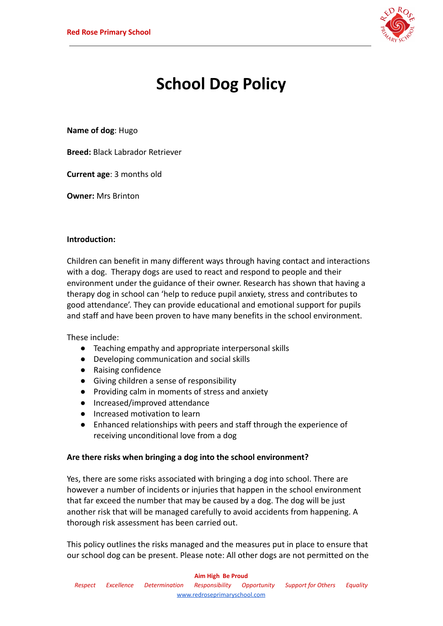

# **School Dog Policy**

**Name of dog**: Hugo

**Breed:** Black Labrador Retriever

**Current age**: 3 months old

**Owner:** Mrs Brinton

#### **Introduction:**

Children can benefit in many different ways through having contact and interactions with a dog. Therapy dogs are used to react and respond to people and their environment under the guidance of their owner. Research has shown that having a therapy dog in school can 'help to reduce pupil anxiety, stress and contributes to good attendance'. They can provide educational and emotional support for pupils and staff and have been proven to have many benefits in the school environment.

These include:

- Teaching empathy and appropriate interpersonal skills
- Developing communication and social skills
- Raising confidence
- Giving children a sense of responsibility
- Providing calm in moments of stress and anxiety
- Increased/improved attendance
- Increased motivation to learn
- Enhanced relationships with peers and staff through the experience of receiving unconditional love from a dog

#### **Are there risks when bringing a dog into the school environment?**

Yes, there are some risks associated with bringing a dog into school. There are however a number of incidents or injuries that happen in the school environment that far exceed the number that may be caused by a dog. The dog will be just another risk that will be managed carefully to avoid accidents from happening. A thorough risk assessment has been carried out.

This policy outlines the risks managed and the measures put in place to ensure that our school dog can be present. Please note: All other dogs are not permitted on the

#### **Aim High Be Proud**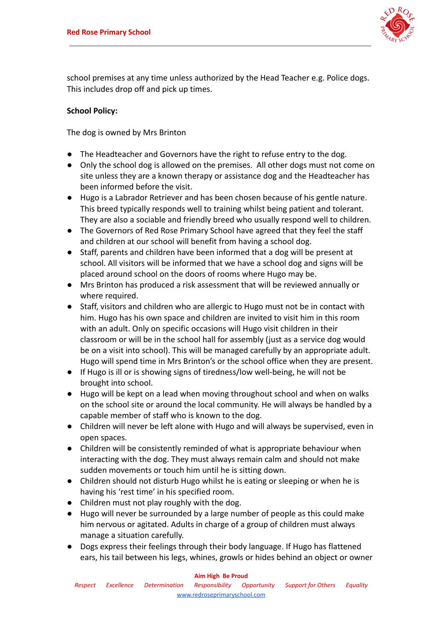

school premises at any time unless authorized by the Head Teacher e.g. Police dogs. This includes drop off and pick up times.

# **School Policy:**

The dog is owned by Mrs Brinton

- The Headteacher and Governors have the right to refuse entry to the dog.
- Only the school dog is allowed on the premises. All other dogs must not come on site unless they are a known therapy or assistance dog and the Headteacher has been informed before the visit.
- Hugo is a Labrador Retriever and has been chosen because of his gentle nature. This breed typically responds well to training whilst being patient and tolerant. They are also a sociable and friendly breed who usually respond well to children.
- The Governors of Red Rose Primary School have agreed that they feel the staff and children at our school will benefit from having a school dog.
- Staff, parents and children have been informed that a dog will be present at school. All visitors will be informed that we have a school dog and signs will be placed around school on the doors of rooms where Hugo may be.
- Mrs Brinton has produced a risk assessment that will be reviewed annually or where required.
- Staff, visitors and children who are allergic to Hugo must not be in contact with him. Hugo has his own space and children are invited to visit him in this room with an adult. Only on specific occasions will Hugo visit children in their classroom or will be in the school hall for assembly (just as a service dog would be on a visit into school). This will be managed carefully by an appropriate adult. Hugo will spend time in Mrs Brinton's or the school office when they are present.
- If Hugo is ill or is showing signs of tiredness/low well-being, he will not be brought into school.
- Hugo will be kept on a lead when moving throughout school and when on walks on the school site or around the local community. He will always be handled by a capable member of staff who is known to the dog.
- Children will never be left alone with Hugo and will always be supervised, even in open spaces.
- Children will be consistently reminded of what is appropriate behaviour when interacting with the dog. They must always remain calm and should not make sudden movements or touch him until he is sitting down.
- Children should not disturb Hugo whilst he is eating or sleeping or when he is having his 'rest time' in his specified room.
- Children must not play roughly with the dog.
- Hugo will never be surrounded by a large number of people as this could make him nervous or agitated. Adults in charge of a group of children must always manage a situation carefully.
- Dogs express their feelings through their body language. If Hugo has flattened ears, his tail between his legs, whines, growls or hides behind an object or owner

#### **Aim High Be Proud**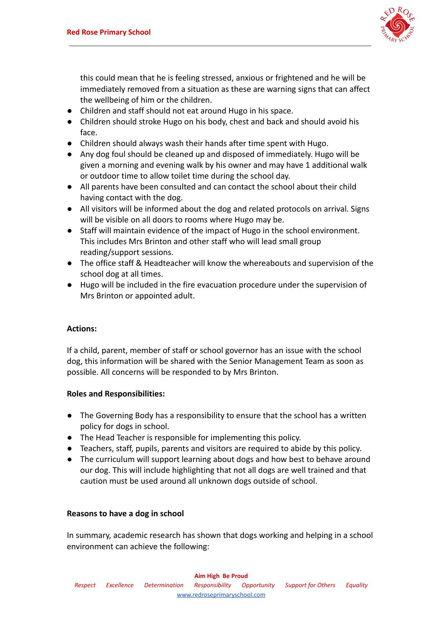

this could mean that he is feeling stressed, anxious or frightened and he will be immediately removed from a situation as these are warning signs that can affect the wellbeing of him or the children.

- Children and staff should not eat around Hugo in his space.
- Children should stroke Hugo on his body, chest and back and should avoid his face.
- Children should always wash their hands after time spent with Hugo.
- Any dog foul should be cleaned up and disposed of immediately. Hugo will be given a morning and evening walk by his owner and may have 1 additional walk or outdoor time to allow toilet time during the school day.
- All parents have been consulted and can contact the school about their child having contact with the dog.
- All visitors will be informed about the dog and related protocols on arrival. Signs will be visible on all doors to rooms where Hugo may be.
- Staff will maintain evidence of the impact of Hugo in the school environment. This includes Mrs Brinton and other staff who will lead small group reading/support sessions.
- The office staff & Headteacher will know the whereabouts and supervision of the school dog at all times.
- Hugo will be included in the fire evacuation procedure under the supervision of Mrs Brinton or appointed adult.

#### **Actions:**

If a child, parent, member of staff or school governor has an issue with the school dog, this information will be shared with the Senior Management Team as soon as possible. All concerns will be responded to by Mrs Brinton.

#### **Roles and Responsibilities:**

- The Governing Body has a responsibility to ensure that the school has a written policy for dogs in school.
- The Head Teacher is responsible for implementing this policy.
- Teachers, staff, pupils, parents and visitors are required to abide by this policy.
- The curriculum will support learning about dogs and how best to behave around our dog. This will include highlighting that not all dogs are well trained and that caution must be used around all unknown dogs outside of school.

#### **Reasons to have a dog in school**

In summary, academic research has shown that dogs working and helping in a school environment can achieve the following: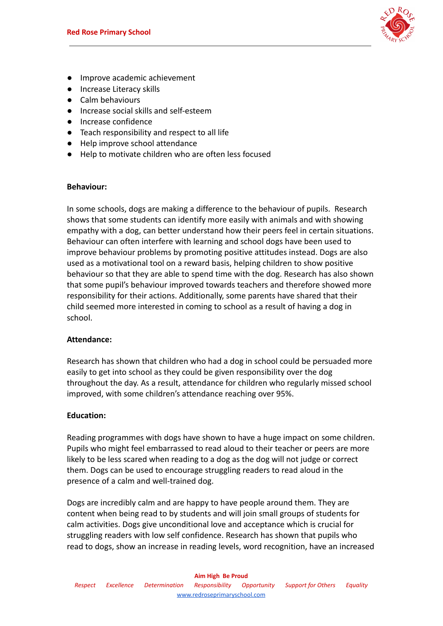

- Improve academic achievement
- Increase Literacy skills
- Calm behaviours
- Increase social skills and self-esteem
- Increase confidence
- Teach responsibility and respect to all life
- Help improve school attendance
- Help to motivate children who are often less focused

#### **Behaviour:**

In some schools, dogs are making a difference to the behaviour of pupils. Research shows that some students can identify more easily with animals and with showing empathy with a dog, can better understand how their peers feel in certain situations. Behaviour can often interfere with learning and school dogs have been used to improve behaviour problems by promoting positive attitudes instead. Dogs are also used as a motivational tool on a reward basis, helping children to show positive behaviour so that they are able to spend time with the dog. Research has also shown that some pupil's behaviour improved towards teachers and therefore showed more responsibility for their actions. Additionally, some parents have shared that their child seemed more interested in coming to school as a result of having a dog in school.

# **Attendance:**

Research has shown that children who had a dog in school could be persuaded more easily to get into school as they could be given responsibility over the dog throughout the day. As a result, attendance for children who regularly missed school improved, with some children's attendance reaching over 95%.

#### **Education:**

Reading programmes with dogs have shown to have a huge impact on some children. Pupils who might feel embarrassed to read aloud to their teacher or peers are more likely to be less scared when reading to a dog as the dog will not judge or correct them. Dogs can be used to encourage struggling readers to read aloud in the presence of a calm and well-trained dog.

Dogs are incredibly calm and are happy to have people around them. They are content when being read to by students and will join small groups of students for calm activities. Dogs give unconditional love and acceptance which is crucial for struggling readers with low self confidence. Research has shown that pupils who read to dogs, show an increase in reading levels, word recognition, have an increased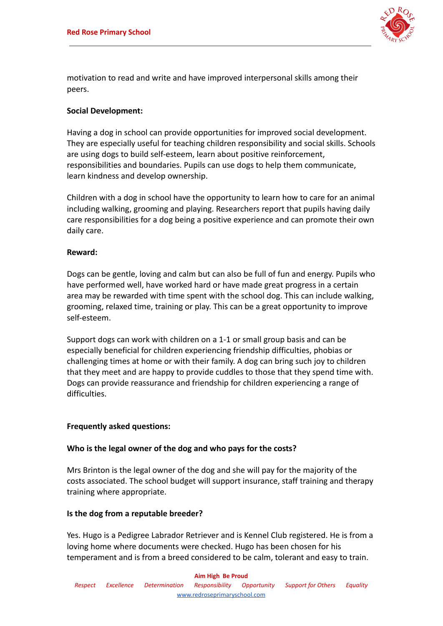

motivation to read and write and have improved interpersonal skills among their peers.

#### **Social Development:**

Having a dog in school can provide opportunities for improved social development. They are especially useful for teaching children responsibility and social skills. Schools are using dogs to build self-esteem, learn about positive reinforcement, responsibilities and boundaries. Pupils can use dogs to help them communicate, learn kindness and develop ownership.

Children with a dog in school have the opportunity to learn how to care for an animal including walking, grooming and playing. Researchers report that pupils having daily care responsibilities for a dog being a positive experience and can promote their own daily care.

#### **Reward:**

Dogs can be gentle, loving and calm but can also be full of fun and energy. Pupils who have performed well, have worked hard or have made great progress in a certain area may be rewarded with time spent with the school dog. This can include walking, grooming, relaxed time, training or play. This can be a great opportunity to improve self-esteem.

Support dogs can work with children on a 1-1 or small group basis and can be especially beneficial for children experiencing friendship difficulties, phobias or challenging times at home or with their family. A dog can bring such joy to children that they meet and are happy to provide cuddles to those that they spend time with. Dogs can provide reassurance and friendship for children experiencing a range of difficulties.

#### **Frequently asked questions:**

#### **Who is the legal owner of the dog and who pays for the costs?**

Mrs Brinton is the legal owner of the dog and she will pay for the majority of the costs associated. The school budget will support insurance, staff training and therapy training where appropriate.

#### **Is the dog from a reputable breeder?**

Yes. Hugo is a Pedigree Labrador Retriever and is Kennel Club registered. He is from a loving home where documents were checked. Hugo has been chosen for his temperament and is from a breed considered to be calm, tolerant and easy to train.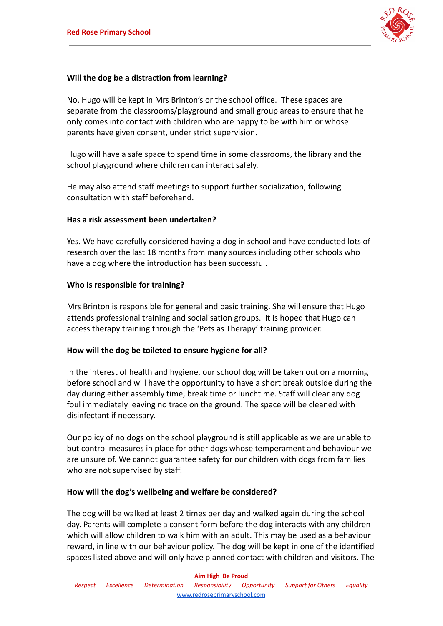

#### **Will the dog be a distraction from learning?**

No. Hugo will be kept in Mrs Brinton's or the school office. These spaces are separate from the classrooms/playground and small group areas to ensure that he only comes into contact with children who are happy to be with him or whose parents have given consent, under strict supervision.

Hugo will have a safe space to spend time in some classrooms, the library and the school playground where children can interact safely.

He may also attend staff meetings to support further socialization, following consultation with staff beforehand.

#### **Has a risk assessment been undertaken?**

Yes. We have carefully considered having a dog in school and have conducted lots of research over the last 18 months from many sources including other schools who have a dog where the introduction has been successful.

#### **Who is responsible for training?**

Mrs Brinton is responsible for general and basic training. She will ensure that Hugo attends professional training and socialisation groups. It is hoped that Hugo can access therapy training through the 'Pets as Therapy' training provider.

#### **How will the dog be toileted to ensure hygiene for all?**

In the interest of health and hygiene, our school dog will be taken out on a morning before school and will have the opportunity to have a short break outside during the day during either assembly time, break time or lunchtime. Staff will clear any dog foul immediately leaving no trace on the ground. The space will be cleaned with disinfectant if necessary.

Our policy of no dogs on the school playground is still applicable as we are unable to but control measures in place for other dogs whose temperament and behaviour we are unsure of. We cannot guarantee safety for our children with dogs from families who are not supervised by staff.

#### **How will the dog's wellbeing and welfare be considered?**

The dog will be walked at least 2 times per day and walked again during the school day. Parents will complete a consent form before the dog interacts with any children which will allow children to walk him with an adult. This may be used as a behaviour reward, in line with our behaviour policy. The dog will be kept in one of the identified spaces listed above and will only have planned contact with children and visitors. The

#### **Aim High Be Proud**